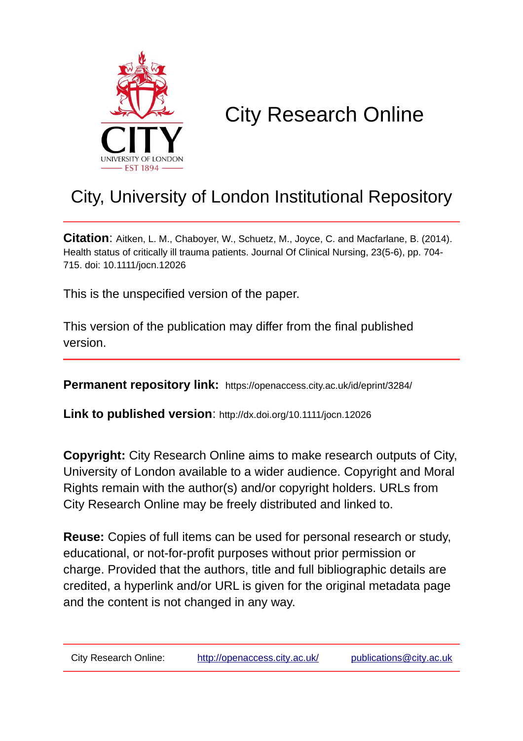

# City Research Online

# City, University of London Institutional Repository

**Citation**: Aitken, L. M., Chaboyer, W., Schuetz, M., Joyce, C. and Macfarlane, B. (2014). Health status of critically ill trauma patients. Journal Of Clinical Nursing, 23(5-6), pp. 704- 715. doi: 10.1111/jocn.12026

This is the unspecified version of the paper.

This version of the publication may differ from the final published version.

**Permanent repository link:** https://openaccess.city.ac.uk/id/eprint/3284/

**Link to published version**: http://dx.doi.org/10.1111/jocn.12026

**Copyright:** City Research Online aims to make research outputs of City, University of London available to a wider audience. Copyright and Moral Rights remain with the author(s) and/or copyright holders. URLs from City Research Online may be freely distributed and linked to.

**Reuse:** Copies of full items can be used for personal research or study, educational, or not-for-profit purposes without prior permission or charge. Provided that the authors, title and full bibliographic details are credited, a hyperlink and/or URL is given for the original metadata page and the content is not changed in any way.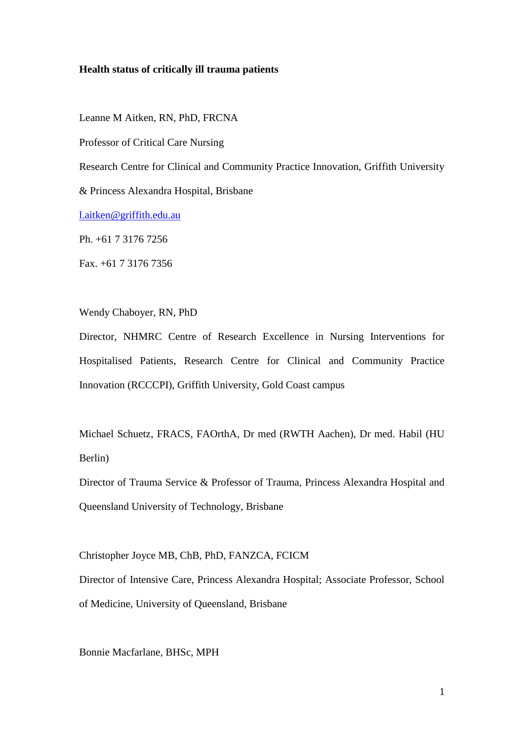#### **Health status of critically ill trauma patients**

Leanne M Aitken, RN, PhD, FRCNA

Professor of Critical Care Nursing

Research Centre for Clinical and Community Practice Innovation, Griffith University

& Princess Alexandra Hospital, Brisbane

[l.aitken@griffith.edu.au](mailto:l.aitken@griffith.edu.au)

Ph. +61 7 3176 7256

Fax. +61 7 3176 7356

Wendy Chaboyer, RN, PhD

Director, NHMRC Centre of Research Excellence in Nursing Interventions for Hospitalised Patients, Research Centre for Clinical and Community Practice Innovation (RCCCPI), Griffith University, Gold Coast campus

Michael Schuetz, FRACS, FAOrthA, Dr med (RWTH Aachen), Dr med. Habil (HU Berlin)

Director of Trauma Service & Professor of Trauma, Princess Alexandra Hospital and Queensland University of Technology, Brisbane

Christopher Joyce MB, ChB, PhD, FANZCA, FCICM

Director of Intensive Care, Princess Alexandra Hospital; Associate Professor, School of Medicine, University of Queensland, Brisbane

Bonnie Macfarlane, BHSc, MPH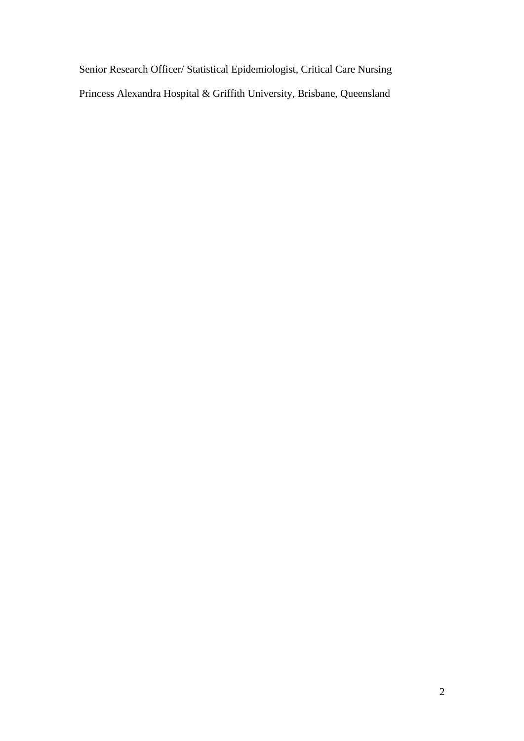Senior Research Officer/ Statistical Epidemiologist, Critical Care Nursing Princess Alexandra Hospital & Griffith University, Brisbane, Queensland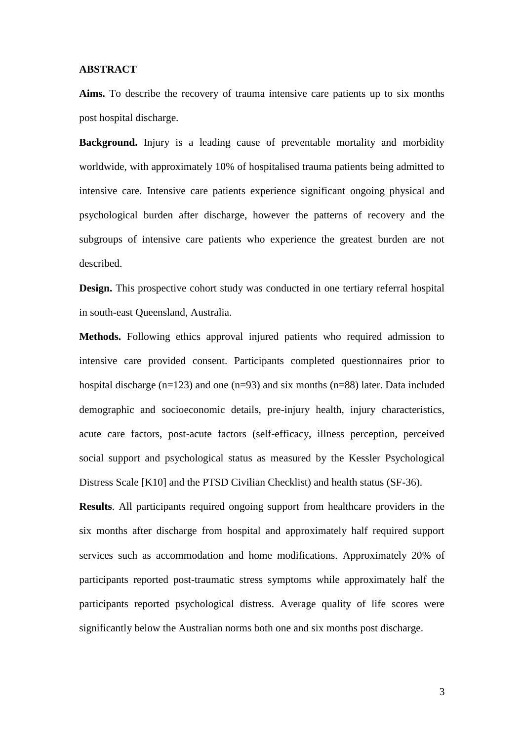#### **ABSTRACT**

**Aims.** To describe the recovery of trauma intensive care patients up to six months post hospital discharge.

**Background.** Injury is a leading cause of preventable mortality and morbidity worldwide, with approximately 10% of hospitalised trauma patients being admitted to intensive care. Intensive care patients experience significant ongoing physical and psychological burden after discharge, however the patterns of recovery and the subgroups of intensive care patients who experience the greatest burden are not described.

**Design.** This prospective cohort study was conducted in one tertiary referral hospital in south-east Queensland, Australia.

**Methods.** Following ethics approval injured patients who required admission to intensive care provided consent. Participants completed questionnaires prior to hospital discharge (n=123) and one (n=93) and six months (n=88) later. Data included demographic and socioeconomic details, pre-injury health, injury characteristics, acute care factors, post-acute factors (self-efficacy, illness perception, perceived social support and psychological status as measured by the Kessler Psychological Distress Scale [K10] and the PTSD Civilian Checklist) and health status (SF-36).

**Results**. All participants required ongoing support from healthcare providers in the six months after discharge from hospital and approximately half required support services such as accommodation and home modifications. Approximately 20% of participants reported post-traumatic stress symptoms while approximately half the participants reported psychological distress. Average quality of life scores were significantly below the Australian norms both one and six months post discharge.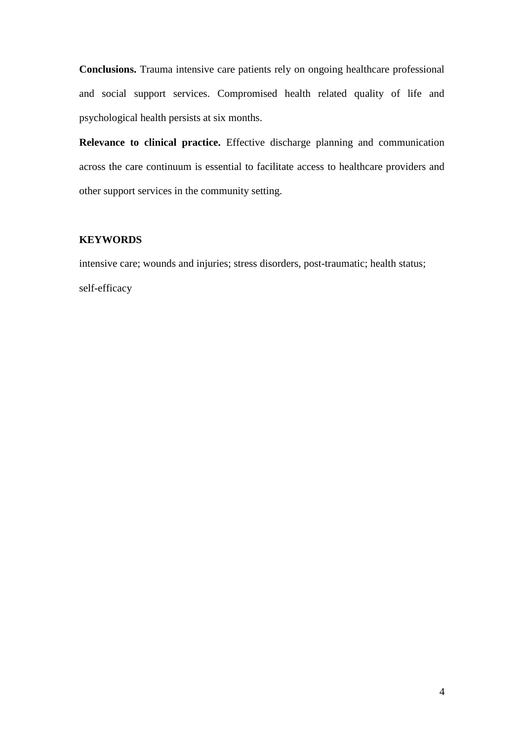**Conclusions.** Trauma intensive care patients rely on ongoing healthcare professional and social support services. Compromised health related quality of life and psychological health persists at six months.

**Relevance to clinical practice.** Effective discharge planning and communication across the care continuum is essential to facilitate access to healthcare providers and other support services in the community setting.

# **KEYWORDS**

intensive care; wounds and injuries; stress disorders, post-traumatic; health status; self-efficacy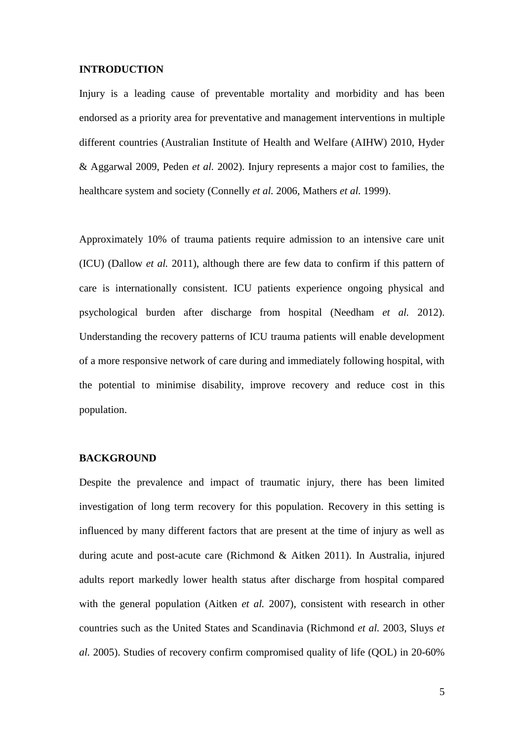#### **INTRODUCTION**

Injury is a leading cause of preventable mortality and morbidity and has been endorsed as a priority area for preventative and management interventions in multiple different countries (Australian Institute of Health and Welfare (AIHW) 2010, Hyder & Aggarwal 2009, Peden *et al.* 2002). Injury represents a major cost to families, the healthcare system and society (Connelly *et al.* 2006, Mathers *et al.* 1999).

Approximately 10% of trauma patients require admission to an intensive care unit (ICU) (Dallow *et al.* 2011), although there are few data to confirm if this pattern of care is internationally consistent. ICU patients experience ongoing physical and psychological burden after discharge from hospital (Needham *et al.* 2012). Understanding the recovery patterns of ICU trauma patients will enable development of a more responsive network of care during and immediately following hospital, with the potential to minimise disability, improve recovery and reduce cost in this population.

### **BACKGROUND**

Despite the prevalence and impact of traumatic injury, there has been limited investigation of long term recovery for this population. Recovery in this setting is influenced by many different factors that are present at the time of injury as well as during acute and post-acute care (Richmond & Aitken 2011). In Australia, injured adults report markedly lower health status after discharge from hospital compared with the general population (Aitken *et al.* 2007), consistent with research in other countries such as the United States and Scandinavia (Richmond *et al.* 2003, Sluys *et al.* 2005). Studies of recovery confirm compromised quality of life (QOL) in 20-60%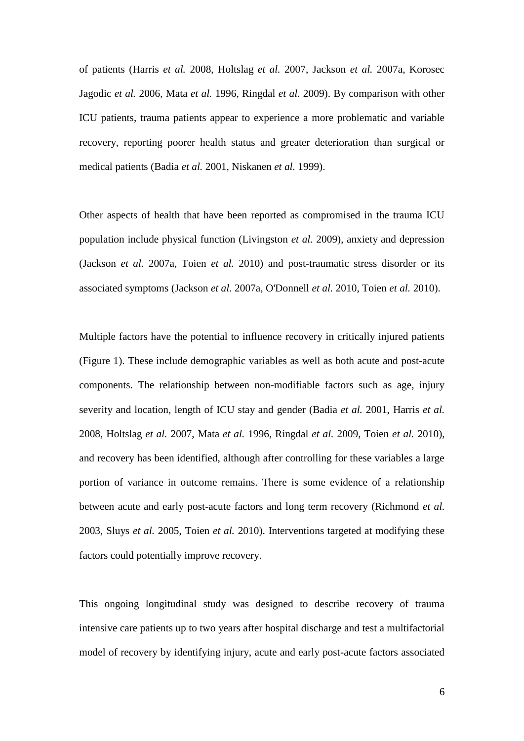of patients (Harris *et al.* 2008, Holtslag *et al.* 2007, Jackson *et al.* 2007a, Korosec Jagodic *et al.* 2006, Mata *et al.* 1996, Ringdal *et al.* 2009). By comparison with other ICU patients, trauma patients appear to experience a more problematic and variable recovery, reporting poorer health status and greater deterioration than surgical or medical patients (Badia *et al.* 2001, Niskanen *et al.* 1999).

Other aspects of health that have been reported as compromised in the trauma ICU population include physical function (Livingston *et al.* 2009), anxiety and depression (Jackson *et al.* 2007a, Toien *et al.* 2010) and post-traumatic stress disorder or its associated symptoms (Jackson *et al.* 2007a, O'Donnell *et al.* 2010, Toien *et al.* 2010).

Multiple factors have the potential to influence recovery in critically injured patients (Figure 1). These include demographic variables as well as both acute and post-acute components. The relationship between non-modifiable factors such as age, injury severity and location, length of ICU stay and gender (Badia *et al.* 2001, Harris *et al.* 2008, Holtslag *et al.* 2007, Mata *et al.* 1996, Ringdal *et al.* 2009, Toien *et al.* 2010), and recovery has been identified, although after controlling for these variables a large portion of variance in outcome remains. There is some evidence of a relationship between acute and early post-acute factors and long term recovery (Richmond *et al.* 2003, Sluys *et al.* 2005, Toien *et al.* 2010). Interventions targeted at modifying these factors could potentially improve recovery.

This ongoing longitudinal study was designed to describe recovery of trauma intensive care patients up to two years after hospital discharge and test a multifactorial model of recovery by identifying injury, acute and early post-acute factors associated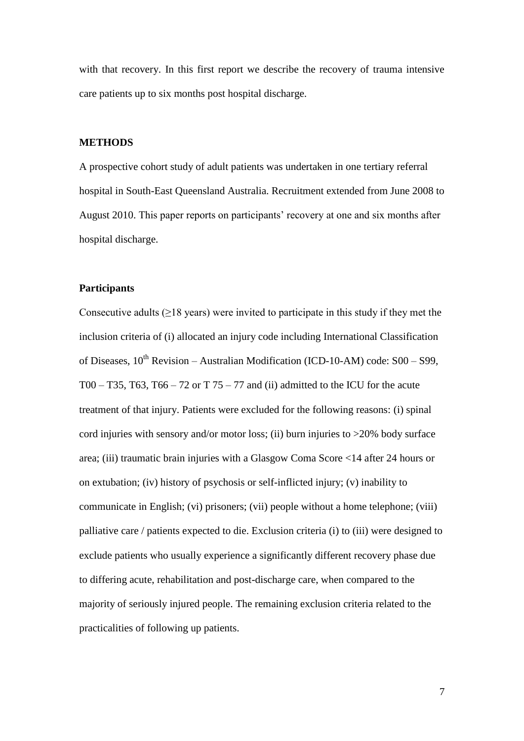with that recovery. In this first report we describe the recovery of trauma intensive care patients up to six months post hospital discharge.

### **METHODS**

A prospective cohort study of adult patients was undertaken in one tertiary referral hospital in South-East Queensland Australia. Recruitment extended from June 2008 to August 2010. This paper reports on participants' recovery at one and six months after hospital discharge.

# **Participants**

Consecutive adults  $(\geq 18$  years) were invited to participate in this study if they met the inclusion criteria of (i) allocated an injury code including International Classification of Diseases,  $10^{th}$  Revision – Australian Modification (ICD-10-AM) code:  $S00 - S99$ , T00 – T35, T63, T66 – 72 or T  $75 - 77$  and (ii) admitted to the ICU for the acute treatment of that injury. Patients were excluded for the following reasons: (i) spinal cord injuries with sensory and/or motor loss; (ii) burn injuries to >20% body surface area; (iii) traumatic brain injuries with a Glasgow Coma Score <14 after 24 hours or on extubation; (iv) history of psychosis or self-inflicted injury; (v) inability to communicate in English; (vi) prisoners; (vii) people without a home telephone; (viii) palliative care / patients expected to die. Exclusion criteria (i) to (iii) were designed to exclude patients who usually experience a significantly different recovery phase due to differing acute, rehabilitation and post-discharge care, when compared to the majority of seriously injured people. The remaining exclusion criteria related to the practicalities of following up patients.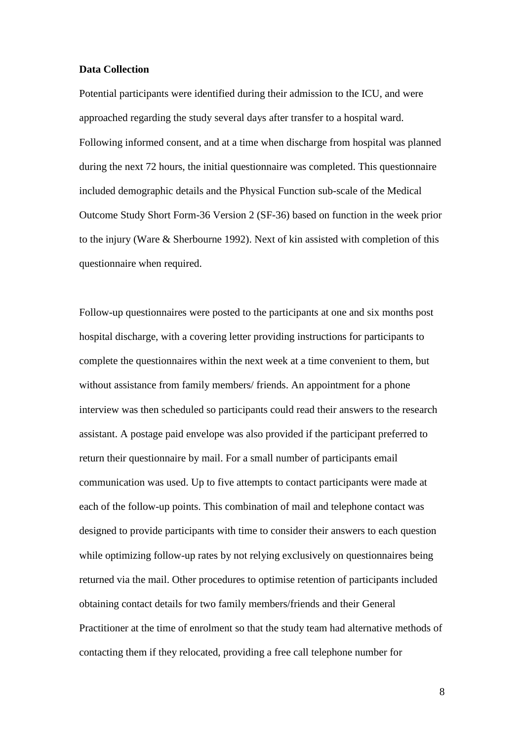#### **Data Collection**

Potential participants were identified during their admission to the ICU, and were approached regarding the study several days after transfer to a hospital ward. Following informed consent, and at a time when discharge from hospital was planned during the next 72 hours, the initial questionnaire was completed. This questionnaire included demographic details and the Physical Function sub-scale of the Medical Outcome Study Short Form-36 Version 2 (SF-36) based on function in the week prior to the injury (Ware & Sherbourne 1992). Next of kin assisted with completion of this questionnaire when required.

Follow-up questionnaires were posted to the participants at one and six months post hospital discharge, with a covering letter providing instructions for participants to complete the questionnaires within the next week at a time convenient to them, but without assistance from family members/ friends. An appointment for a phone interview was then scheduled so participants could read their answers to the research assistant. A postage paid envelope was also provided if the participant preferred to return their questionnaire by mail. For a small number of participants email communication was used. Up to five attempts to contact participants were made at each of the follow-up points. This combination of mail and telephone contact was designed to provide participants with time to consider their answers to each question while optimizing follow-up rates by not relying exclusively on questionnaires being returned via the mail. Other procedures to optimise retention of participants included obtaining contact details for two family members/friends and their General Practitioner at the time of enrolment so that the study team had alternative methods of contacting them if they relocated, providing a free call telephone number for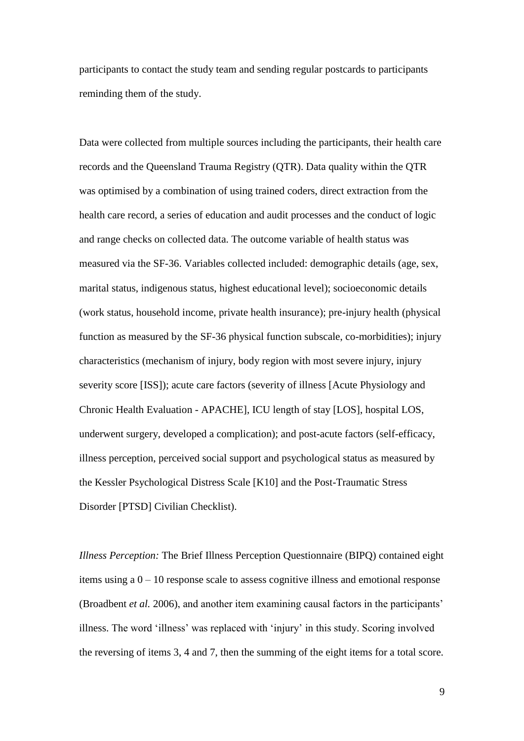participants to contact the study team and sending regular postcards to participants reminding them of the study.

Data were collected from multiple sources including the participants, their health care records and the Queensland Trauma Registry (QTR). Data quality within the QTR was optimised by a combination of using trained coders, direct extraction from the health care record, a series of education and audit processes and the conduct of logic and range checks on collected data. The outcome variable of health status was measured via the SF-36. Variables collected included: demographic details (age, sex, marital status, indigenous status, highest educational level); socioeconomic details (work status, household income, private health insurance); pre-injury health (physical function as measured by the SF-36 physical function subscale, co-morbidities); injury characteristics (mechanism of injury, body region with most severe injury, injury severity score [ISS]); acute care factors (severity of illness [Acute Physiology and Chronic Health Evaluation - APACHE], ICU length of stay [LOS], hospital LOS, underwent surgery, developed a complication); and post-acute factors (self-efficacy, illness perception, perceived social support and psychological status as measured by the Kessler Psychological Distress Scale [K10] and the Post-Traumatic Stress Disorder [PTSD] Civilian Checklist).

*Illness Perception:* The Brief Illness Perception Questionnaire (BIPQ) contained eight items using a  $0 - 10$  response scale to assess cognitive illness and emotional response (Broadbent *et al.* 2006), and another item examining causal factors in the participants' illness. The word 'illness' was replaced with 'injury' in this study. Scoring involved the reversing of items 3, 4 and 7, then the summing of the eight items for a total score.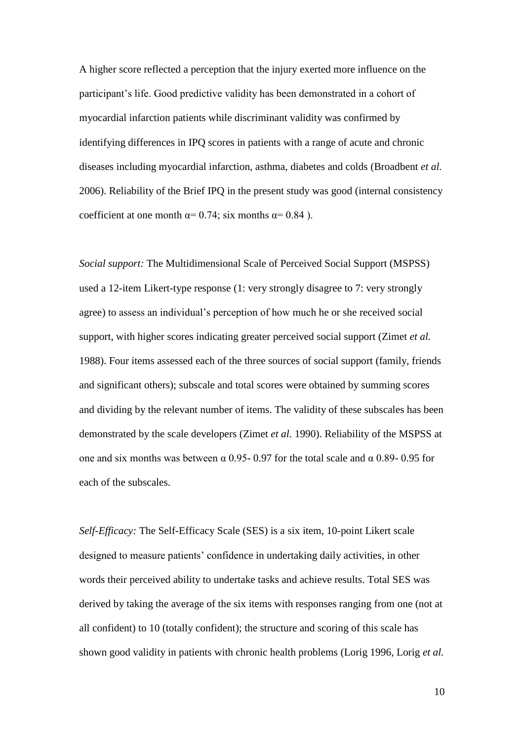A higher score reflected a perception that the injury exerted more influence on the participant's life. Good predictive validity has been demonstrated in a cohort of myocardial infarction patients while discriminant validity was confirmed by identifying differences in IPQ scores in patients with a range of acute and chronic diseases including myocardial infarction, asthma, diabetes and colds (Broadbent *et al.* 2006). Reliability of the Brief IPQ in the present study was good (internal consistency coefficient at one month  $\alpha$ = 0.74; six months  $\alpha$ = 0.84).

*Social support:* The Multidimensional Scale of Perceived Social Support (MSPSS) used a 12-item Likert-type response (1: very strongly disagree to 7: very strongly agree) to assess an individual's perception of how much he or she received social support, with higher scores indicating greater perceived social support (Zimet *et al.* 1988). Four items assessed each of the three sources of social support (family, friends and significant others); subscale and total scores were obtained by summing scores and dividing by the relevant number of items. The validity of these subscales has been demonstrated by the scale developers (Zimet *et al.* 1990). Reliability of the MSPSS at one and six months was between  $\alpha$  0.95- 0.97 for the total scale and  $\alpha$  0.89- 0.95 for each of the subscales.

*Self-Efficacy:* The Self-Efficacy Scale (SES) is a six item, 10-point Likert scale designed to measure patients' confidence in undertaking daily activities, in other words their perceived ability to undertake tasks and achieve results. Total SES was derived by taking the average of the six items with responses ranging from one (not at all confident) to 10 (totally confident); the structure and scoring of this scale has shown good validity in patients with chronic health problems (Lorig 1996, Lorig *et al.*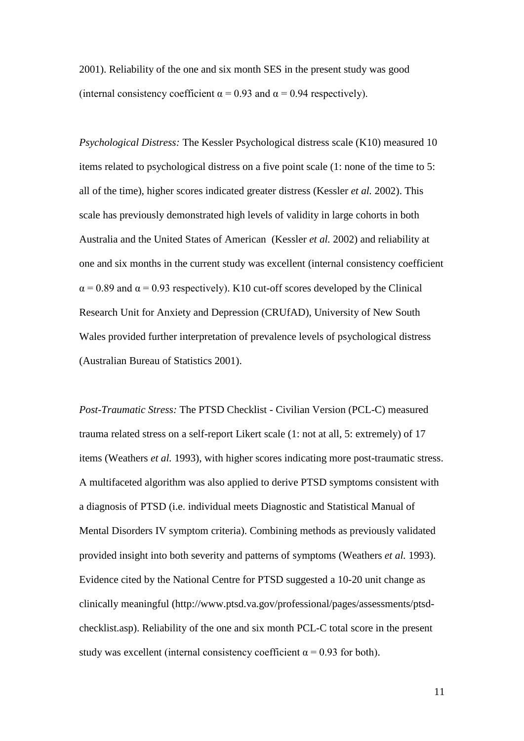2001). Reliability of the one and six month SES in the present study was good (internal consistency coefficient  $\alpha = 0.93$  and  $\alpha = 0.94$  respectively).

*Psychological Distress:* The Kessler Psychological distress scale (K10) measured 10 items related to psychological distress on a five point scale (1: none of the time to 5: all of the time), higher scores indicated greater distress (Kessler *et al.* 2002). This scale has previously demonstrated high levels of validity in large cohorts in both Australia and the United States of American (Kessler *et al.* 2002) and reliability at one and six months in the current study was excellent (internal consistency coefficient  $\alpha$  = 0.89 and  $\alpha$  = 0.93 respectively). K10 cut-off scores developed by the Clinical Research Unit for Anxiety and Depression (CRUfAD), University of New South Wales provided further interpretation of prevalence levels of psychological distress (Australian Bureau of Statistics 2001).

*Post-Traumatic Stress:* The PTSD Checklist - Civilian Version (PCL-C) measured trauma related stress on a self-report Likert scale (1: not at all, 5: extremely) of 17 items (Weathers *et al.* 1993), with higher scores indicating more post-traumatic stress. A multifaceted algorithm was also applied to derive PTSD symptoms consistent with a diagnosis of PTSD (i.e. individual meets Diagnostic and Statistical Manual of Mental Disorders IV symptom criteria). Combining methods as previously validated provided insight into both severity and patterns of symptoms (Weathers *et al.* 1993). Evidence cited by the National Centre for PTSD suggested a 10-20 unit change as clinically meaningful (http://www.ptsd.va.gov/professional/pages/assessments/ptsdchecklist.asp). Reliability of the one and six month PCL-C total score in the present study was excellent (internal consistency coefficient  $\alpha = 0.93$  for both).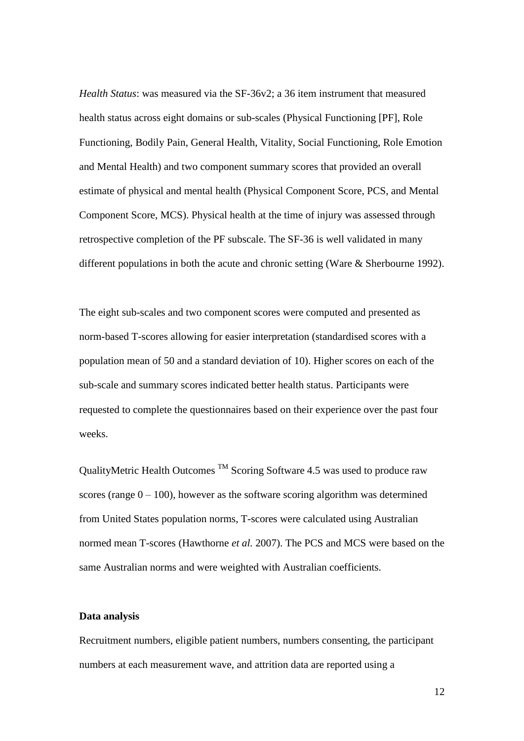*Health Status*: was measured via the SF-36v2; a 36 item instrument that measured health status across eight domains or sub-scales (Physical Functioning [PF], Role Functioning, Bodily Pain, General Health, Vitality, Social Functioning, Role Emotion and Mental Health) and two component summary scores that provided an overall estimate of physical and mental health (Physical Component Score, PCS, and Mental Component Score, MCS). Physical health at the time of injury was assessed through retrospective completion of the PF subscale. The SF-36 is well validated in many different populations in both the acute and chronic setting (Ware & Sherbourne 1992).

The eight sub-scales and two component scores were computed and presented as norm-based T-scores allowing for easier interpretation (standardised scores with a population mean of 50 and a standard deviation of 10). Higher scores on each of the sub-scale and summary scores indicated better health status. Participants were requested to complete the questionnaires based on their experience over the past four weeks.

QualityMetric Health Outcomes  $\text{TM}$  Scoring Software 4.5 was used to produce raw scores (range  $0 - 100$ ), however as the software scoring algorithm was determined from United States population norms, T-scores were calculated using Australian normed mean T-scores (Hawthorne *et al.* 2007). The PCS and MCS were based on the same Australian norms and were weighted with Australian coefficients.

#### **Data analysis**

Recruitment numbers, eligible patient numbers, numbers consenting, the participant numbers at each measurement wave, and attrition data are reported using a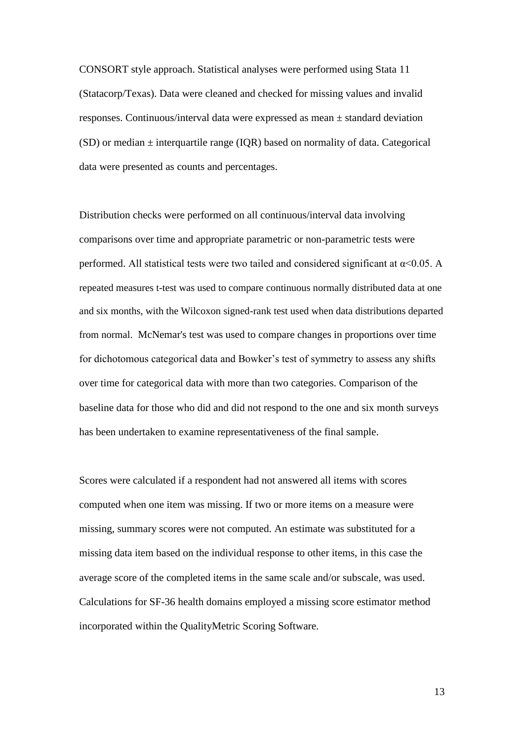CONSORT style approach. Statistical analyses were performed using Stata 11 (Statacorp/Texas). Data were cleaned and checked for missing values and invalid responses. Continuous/interval data were expressed as mean  $\pm$  standard deviation  $(SD)$  or median  $\pm$  interquartile range (IOR) based on normality of data. Categorical data were presented as counts and percentages.

Distribution checks were performed on all continuous/interval data involving comparisons over time and appropriate parametric or non-parametric tests were performed. All statistical tests were two tailed and considered significant at  $\alpha$ <0.05. A repeated measures t-test was used to compare continuous normally distributed data at one and six months, with the Wilcoxon signed-rank test used when data distributions departed from normal. McNemar's test was used to compare changes in proportions over time for dichotomous categorical data and Bowker's test of symmetry to assess any shifts over time for categorical data with more than two categories. Comparison of the baseline data for those who did and did not respond to the one and six month surveys has been undertaken to examine representativeness of the final sample.

Scores were calculated if a respondent had not answered all items with scores computed when one item was missing. If two or more items on a measure were missing, summary scores were not computed. An estimate was substituted for a missing data item based on the individual response to other items, in this case the average score of the completed items in the same scale and/or subscale, was used. Calculations for SF-36 health domains employed a missing score estimator method incorporated within the QualityMetric Scoring Software.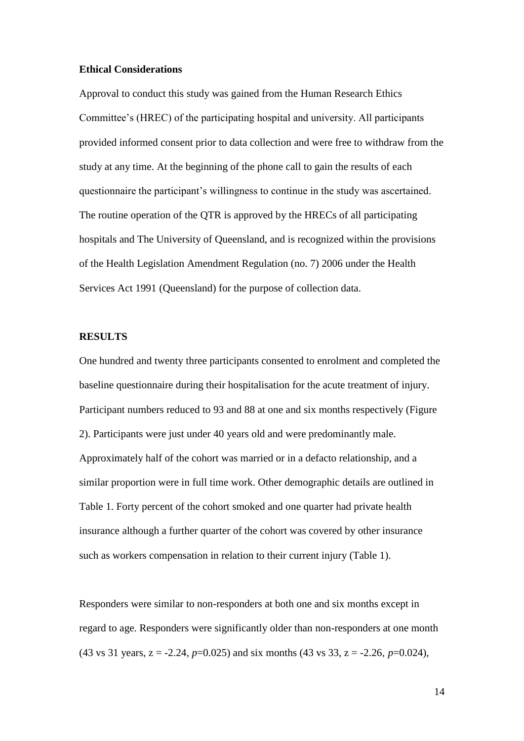#### **Ethical Considerations**

Approval to conduct this study was gained from the Human Research Ethics Committee's (HREC) of the participating hospital and university. All participants provided informed consent prior to data collection and were free to withdraw from the study at any time. At the beginning of the phone call to gain the results of each questionnaire the participant's willingness to continue in the study was ascertained. The routine operation of the QTR is approved by the HRECs of all participating hospitals and The University of Queensland, and is recognized within the provisions of the Health Legislation Amendment Regulation (no. 7) 2006 under the Health Services Act 1991 (Queensland) for the purpose of collection data.

#### **RESULTS**

One hundred and twenty three participants consented to enrolment and completed the baseline questionnaire during their hospitalisation for the acute treatment of injury. Participant numbers reduced to 93 and 88 at one and six months respectively (Figure 2). Participants were just under 40 years old and were predominantly male. Approximately half of the cohort was married or in a defacto relationship, and a similar proportion were in full time work. Other demographic details are outlined in Table 1. Forty percent of the cohort smoked and one quarter had private health insurance although a further quarter of the cohort was covered by other insurance such as workers compensation in relation to their current injury (Table 1).

Responders were similar to non-responders at both one and six months except in regard to age. Responders were significantly older than non-responders at one month (43 vs 31 years,  $z = -2.24$ ,  $p=0.025$ ) and six months (43 vs 33,  $z = -2.26$ ,  $p=0.024$ ).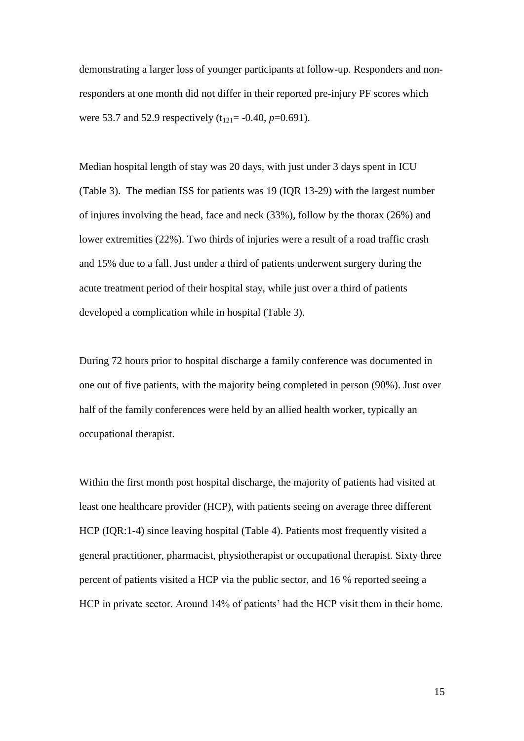demonstrating a larger loss of younger participants at follow-up. Responders and nonresponders at one month did not differ in their reported pre-injury PF scores which were 53.7 and 52.9 respectively  $(t_{121} = -0.40, p=0.691)$ .

Median hospital length of stay was 20 days, with just under 3 days spent in ICU (Table 3). The median ISS for patients was 19 (IQR 13-29) with the largest number of injures involving the head, face and neck (33%), follow by the thorax (26%) and lower extremities (22%). Two thirds of injuries were a result of a road traffic crash and 15% due to a fall. Just under a third of patients underwent surgery during the acute treatment period of their hospital stay, while just over a third of patients developed a complication while in hospital (Table 3).

During 72 hours prior to hospital discharge a family conference was documented in one out of five patients, with the majority being completed in person (90%). Just over half of the family conferences were held by an allied health worker, typically an occupational therapist.

Within the first month post hospital discharge, the majority of patients had visited at least one healthcare provider (HCP), with patients seeing on average three different HCP (IQR:1-4) since leaving hospital (Table 4). Patients most frequently visited a general practitioner, pharmacist, physiotherapist or occupational therapist. Sixty three percent of patients visited a HCP via the public sector, and 16 % reported seeing a HCP in private sector. Around 14% of patients' had the HCP visit them in their home.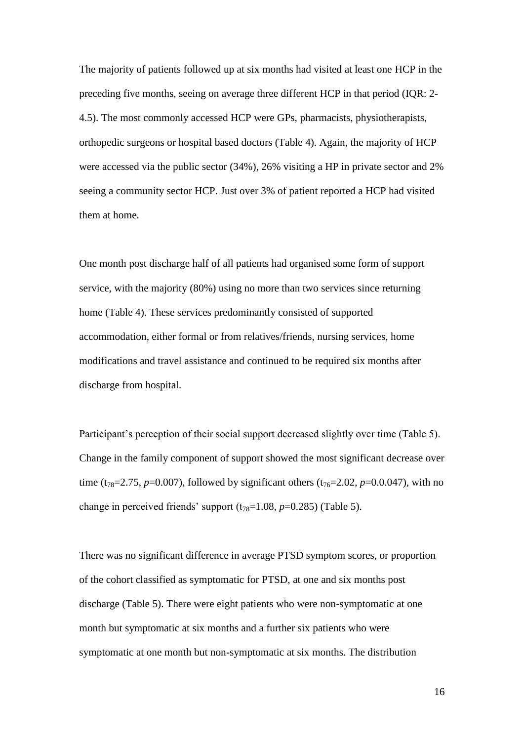The majority of patients followed up at six months had visited at least one HCP in the preceding five months, seeing on average three different HCP in that period (IQR: 2- 4.5). The most commonly accessed HCP were GPs, pharmacists, physiotherapists, orthopedic surgeons or hospital based doctors (Table 4). Again, the majority of HCP were accessed via the public sector (34%), 26% visiting a HP in private sector and 2% seeing a community sector HCP. Just over 3% of patient reported a HCP had visited them at home.

One month post discharge half of all patients had organised some form of support service, with the majority (80%) using no more than two services since returning home (Table 4). These services predominantly consisted of supported accommodation, either formal or from relatives/friends, nursing services, home modifications and travel assistance and continued to be required six months after discharge from hospital.

Participant's perception of their social support decreased slightly over time (Table 5). Change in the family component of support showed the most significant decrease over time (t<sub>78</sub>=2.75, *p*=0.007), followed by significant others (t<sub>76</sub>=2.02, *p*=0.0.047), with no change in perceived friends' support  $(t_{78}=1.08, p=0.285)$  (Table 5).

There was no significant difference in average PTSD symptom scores, or proportion of the cohort classified as symptomatic for PTSD, at one and six months post discharge (Table 5). There were eight patients who were non-symptomatic at one month but symptomatic at six months and a further six patients who were symptomatic at one month but non-symptomatic at six months. The distribution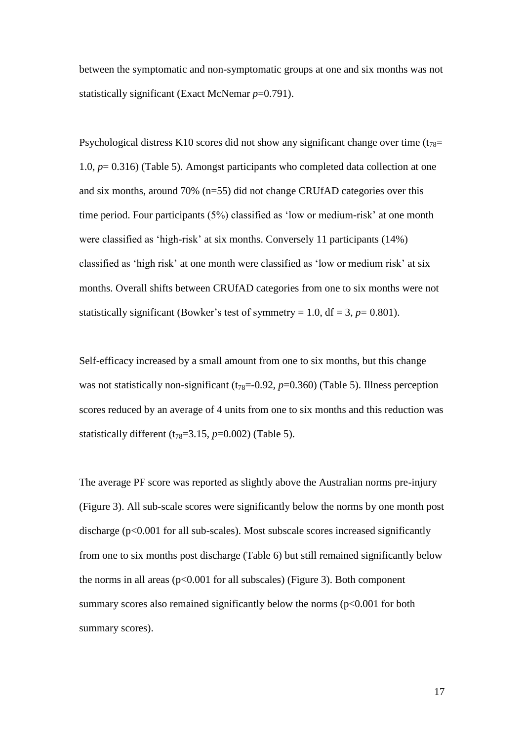between the symptomatic and non-symptomatic groups at one and six months was not statistically significant (Exact McNemar *p*=0.791).

Psychological distress K10 scores did not show any significant change over time  $(t_{78}=$ 1.0, *p*= 0.316) (Table 5). Amongst participants who completed data collection at one and six months, around 70% (n=55) did not change CRUfAD categories over this time period. Four participants (5%) classified as 'low or medium-risk' at one month were classified as 'high-risk' at six months. Conversely 11 participants (14%) classified as 'high risk' at one month were classified as 'low or medium risk' at six months. Overall shifts between CRUfAD categories from one to six months were not statistically significant (Bowker's test of symmetry = 1.0,  $df = 3$ ,  $p = 0.801$ ).

Self-efficacy increased by a small amount from one to six months, but this change was not statistically non-significant  $(t_{78}=0.92, p=0.360)$  (Table 5). Illness perception scores reduced by an average of 4 units from one to six months and this reduction was statistically different  $(t_{78}=3.15, p=0.002)$  (Table 5).

The average PF score was reported as slightly above the Australian norms pre-injury (Figure 3). All sub-scale scores were significantly below the norms by one month post discharge (p<0.001 for all sub-scales). Most subscale scores increased significantly from one to six months post discharge (Table 6) but still remained significantly below the norms in all areas ( $p<0.001$  for all subscales) (Figure 3). Both component summary scores also remained significantly below the norms  $(p<0.001$  for both summary scores).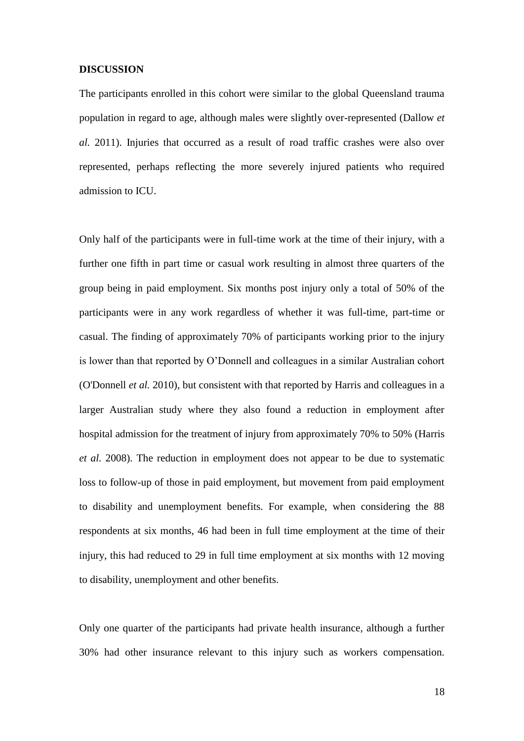#### **DISCUSSION**

The participants enrolled in this cohort were similar to the global Queensland trauma population in regard to age, although males were slightly over-represented (Dallow *et al.* 2011). Injuries that occurred as a result of road traffic crashes were also over represented, perhaps reflecting the more severely injured patients who required admission to ICU.

Only half of the participants were in full-time work at the time of their injury, with a further one fifth in part time or casual work resulting in almost three quarters of the group being in paid employment. Six months post injury only a total of 50% of the participants were in any work regardless of whether it was full-time, part-time or casual. The finding of approximately 70% of participants working prior to the injury is lower than that reported by O'Donnell and colleagues in a similar Australian cohort (O'Donnell *et al.* 2010), but consistent with that reported by Harris and colleagues in a larger Australian study where they also found a reduction in employment after hospital admission for the treatment of injury from approximately 70% to 50% (Harris *et al.* 2008). The reduction in employment does not appear to be due to systematic loss to follow-up of those in paid employment, but movement from paid employment to disability and unemployment benefits. For example, when considering the 88 respondents at six months, 46 had been in full time employment at the time of their injury, this had reduced to 29 in full time employment at six months with 12 moving to disability, unemployment and other benefits.

Only one quarter of the participants had private health insurance, although a further 30% had other insurance relevant to this injury such as workers compensation.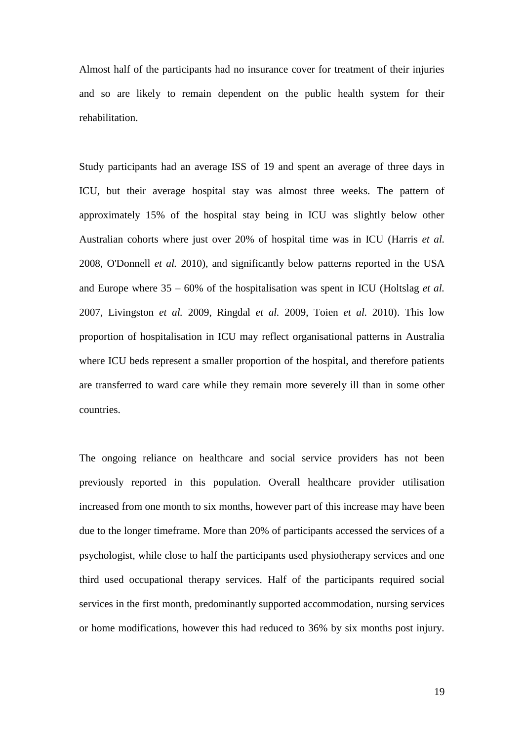Almost half of the participants had no insurance cover for treatment of their injuries and so are likely to remain dependent on the public health system for their rehabilitation.

Study participants had an average ISS of 19 and spent an average of three days in ICU, but their average hospital stay was almost three weeks. The pattern of approximately 15% of the hospital stay being in ICU was slightly below other Australian cohorts where just over 20% of hospital time was in ICU (Harris *et al.* 2008, O'Donnell *et al.* 2010), and significantly below patterns reported in the USA and Europe where 35 – 60% of the hospitalisation was spent in ICU (Holtslag *et al.* 2007, Livingston *et al.* 2009, Ringdal *et al.* 2009, Toien *et al.* 2010). This low proportion of hospitalisation in ICU may reflect organisational patterns in Australia where ICU beds represent a smaller proportion of the hospital, and therefore patients are transferred to ward care while they remain more severely ill than in some other countries.

The ongoing reliance on healthcare and social service providers has not been previously reported in this population. Overall healthcare provider utilisation increased from one month to six months, however part of this increase may have been due to the longer timeframe. More than 20% of participants accessed the services of a psychologist, while close to half the participants used physiotherapy services and one third used occupational therapy services. Half of the participants required social services in the first month, predominantly supported accommodation, nursing services or home modifications, however this had reduced to 36% by six months post injury.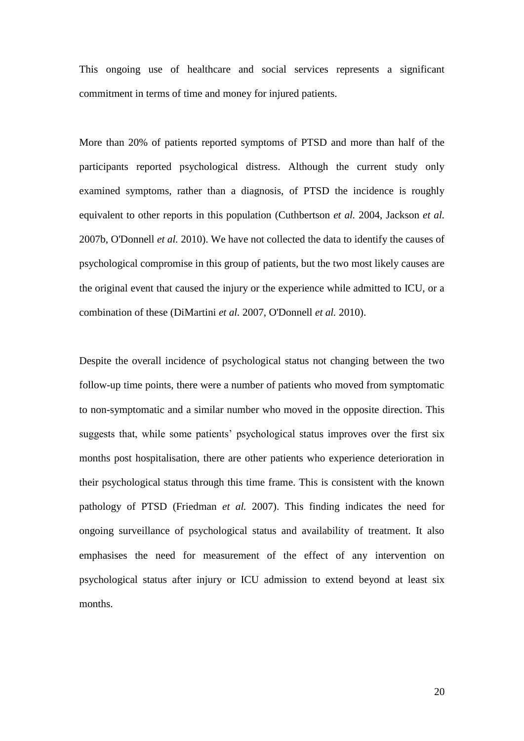This ongoing use of healthcare and social services represents a significant commitment in terms of time and money for injured patients.

More than 20% of patients reported symptoms of PTSD and more than half of the participants reported psychological distress. Although the current study only examined symptoms, rather than a diagnosis, of PTSD the incidence is roughly equivalent to other reports in this population (Cuthbertson *et al.* 2004, Jackson *et al.* 2007b, O'Donnell *et al.* 2010). We have not collected the data to identify the causes of psychological compromise in this group of patients, but the two most likely causes are the original event that caused the injury or the experience while admitted to ICU, or a combination of these (DiMartini *et al.* 2007, O'Donnell *et al.* 2010).

Despite the overall incidence of psychological status not changing between the two follow-up time points, there were a number of patients who moved from symptomatic to non-symptomatic and a similar number who moved in the opposite direction. This suggests that, while some patients' psychological status improves over the first six months post hospitalisation, there are other patients who experience deterioration in their psychological status through this time frame. This is consistent with the known pathology of PTSD (Friedman *et al.* 2007). This finding indicates the need for ongoing surveillance of psychological status and availability of treatment. It also emphasises the need for measurement of the effect of any intervention on psychological status after injury or ICU admission to extend beyond at least six months.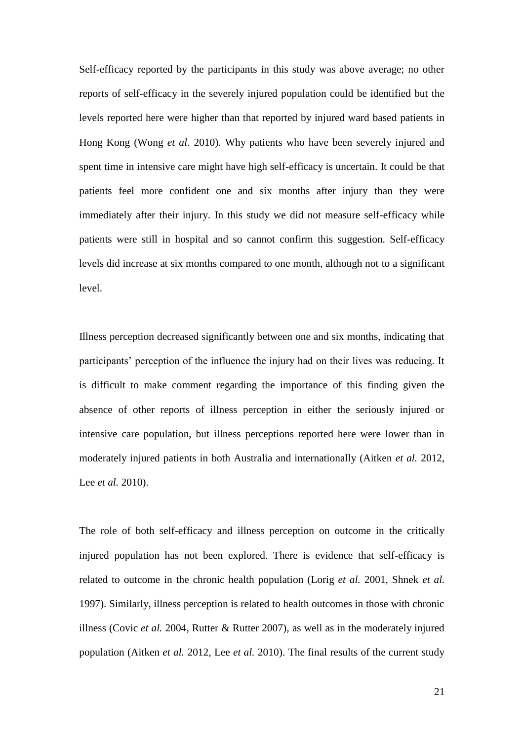Self-efficacy reported by the participants in this study was above average; no other reports of self-efficacy in the severely injured population could be identified but the levels reported here were higher than that reported by injured ward based patients in Hong Kong (Wong *et al.* 2010). Why patients who have been severely injured and spent time in intensive care might have high self-efficacy is uncertain. It could be that patients feel more confident one and six months after injury than they were immediately after their injury. In this study we did not measure self-efficacy while patients were still in hospital and so cannot confirm this suggestion. Self-efficacy levels did increase at six months compared to one month, although not to a significant level.

Illness perception decreased significantly between one and six months, indicating that participants' perception of the influence the injury had on their lives was reducing. It is difficult to make comment regarding the importance of this finding given the absence of other reports of illness perception in either the seriously injured or intensive care population, but illness perceptions reported here were lower than in moderately injured patients in both Australia and internationally (Aitken *et al.* 2012, Lee *et al.* 2010).

The role of both self-efficacy and illness perception on outcome in the critically injured population has not been explored. There is evidence that self-efficacy is related to outcome in the chronic health population (Lorig *et al.* 2001, Shnek *et al.* 1997). Similarly, illness perception is related to health outcomes in those with chronic illness (Covic *et al.* 2004, Rutter & Rutter 2007), as well as in the moderately injured population (Aitken *et al.* 2012, Lee *et al.* 2010). The final results of the current study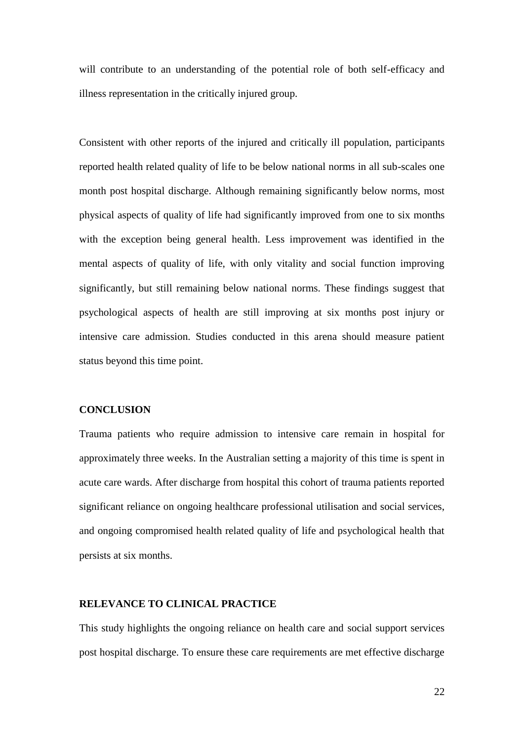will contribute to an understanding of the potential role of both self-efficacy and illness representation in the critically injured group.

Consistent with other reports of the injured and critically ill population, participants reported health related quality of life to be below national norms in all sub-scales one month post hospital discharge. Although remaining significantly below norms, most physical aspects of quality of life had significantly improved from one to six months with the exception being general health. Less improvement was identified in the mental aspects of quality of life, with only vitality and social function improving significantly, but still remaining below national norms. These findings suggest that psychological aspects of health are still improving at six months post injury or intensive care admission. Studies conducted in this arena should measure patient status beyond this time point.

#### **CONCLUSION**

Trauma patients who require admission to intensive care remain in hospital for approximately three weeks. In the Australian setting a majority of this time is spent in acute care wards. After discharge from hospital this cohort of trauma patients reported significant reliance on ongoing healthcare professional utilisation and social services, and ongoing compromised health related quality of life and psychological health that persists at six months.

# **RELEVANCE TO CLINICAL PRACTICE**

This study highlights the ongoing reliance on health care and social support services post hospital discharge. To ensure these care requirements are met effective discharge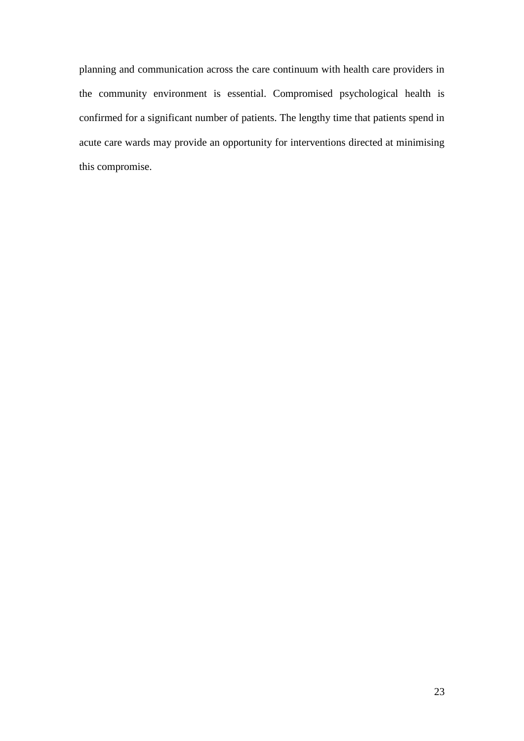planning and communication across the care continuum with health care providers in the community environment is essential. Compromised psychological health is confirmed for a significant number of patients. The lengthy time that patients spend in acute care wards may provide an opportunity for interventions directed at minimising this compromise.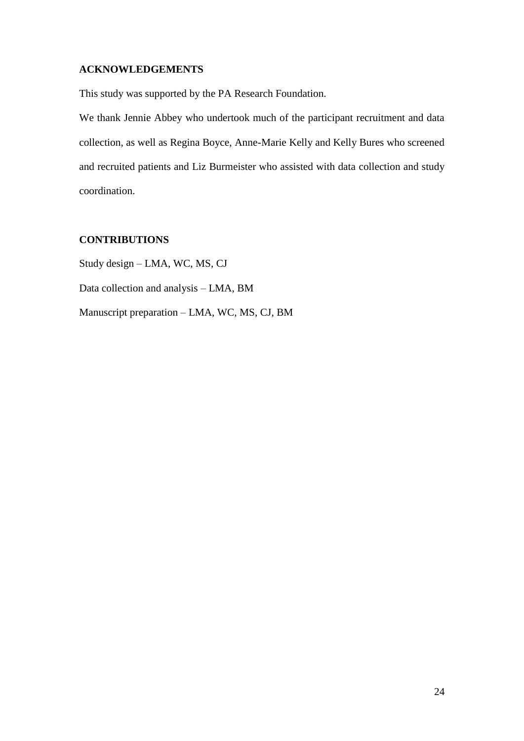# **ACKNOWLEDGEMENTS**

This study was supported by the PA Research Foundation.

We thank Jennie Abbey who undertook much of the participant recruitment and data collection, as well as Regina Boyce, Anne-Marie Kelly and Kelly Bures who screened and recruited patients and Liz Burmeister who assisted with data collection and study coordination.

# **CONTRIBUTIONS**

Study design – LMA, WC, MS, CJ Data collection and analysis – LMA, BM Manuscript preparation – LMA, WC, MS, CJ, BM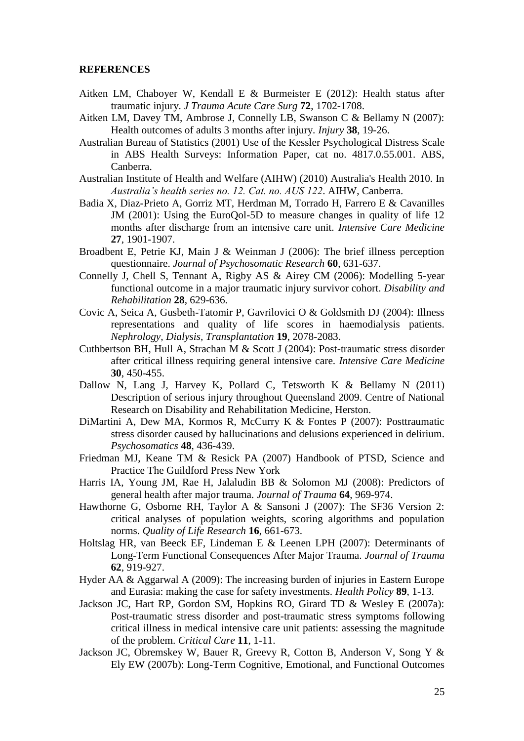#### **REFERENCES**

- Aitken LM, Chaboyer W, Kendall E & Burmeister E (2012): Health status after traumatic injury. *J Trauma Acute Care Surg* **72**, 1702-1708.
- Aitken LM, Davey TM, Ambrose J, Connelly LB, Swanson C & Bellamy N (2007): Health outcomes of adults 3 months after injury. *Injury* **38**, 19-26.
- Australian Bureau of Statistics (2001) Use of the Kessler Psychological Distress Scale in ABS Health Surveys: Information Paper, cat no. 4817.0.55.001. ABS, Canberra.
- Australian Institute of Health and Welfare (AIHW) (2010) Australia's Health 2010. In *Australia's health series no. 12. Cat. no. AUS 122*. AIHW, Canberra.
- Badia X, Diaz-Prieto A, Gorriz MT, Herdman M, Torrado H, Farrero E & Cavanilles JM (2001): Using the EuroQol-5D to measure changes in quality of life 12 months after discharge from an intensive care unit. *Intensive Care Medicine* **27**, 1901-1907.
- Broadbent E, Petrie KJ, Main J & Weinman J (2006): The brief illness perception questionnaire. *Journal of Psychosomatic Research* **60**, 631-637.
- Connelly J, Chell S, Tennant A, Rigby AS & Airey CM (2006): Modelling 5-year functional outcome in a major traumatic injury survivor cohort. *Disability and Rehabilitation* **28**, 629-636.
- Covic A, Seica A, Gusbeth-Tatomir P, Gavrilovici O & Goldsmith DJ (2004): Illness representations and quality of life scores in haemodialysis patients. *Nephrology, Dialysis, Transplantation* **19**, 2078-2083.
- Cuthbertson BH, Hull A, Strachan M & Scott J (2004): Post-traumatic stress disorder after critical illness requiring general intensive care. *Intensive Care Medicine* **30**, 450-455.
- Dallow N, Lang J, Harvey K, Pollard C, Tetsworth K & Bellamy N (2011) Description of serious injury throughout Queensland 2009. Centre of National Research on Disability and Rehabilitation Medicine, Herston.
- DiMartini A, Dew MA, Kormos R, McCurry K & Fontes P (2007): Posttraumatic stress disorder caused by hallucinations and delusions experienced in delirium. *Psychosomatics* **48**, 436-439.
- Friedman MJ, Keane TM & Resick PA (2007) Handbook of PTSD, Science and Practice The Guildford Press New York
- Harris IA, Young JM, Rae H, Jalaludin BB & Solomon MJ (2008): Predictors of general health after major trauma. *Journal of Trauma* **64**, 969-974.
- Hawthorne G, Osborne RH, Taylor A & Sansoni J (2007): The SF36 Version 2: critical analyses of population weights, scoring algorithms and population norms. *Quality of Life Research* **16**, 661-673.
- Holtslag HR, van Beeck EF, Lindeman E & Leenen LPH (2007): Determinants of Long-Term Functional Consequences After Major Trauma. *Journal of Trauma* **62**, 919-927.
- Hyder AA & Aggarwal A (2009): The increasing burden of injuries in Eastern Europe and Eurasia: making the case for safety investments. *Health Policy* **89**, 1-13.
- Jackson JC, Hart RP, Gordon SM, Hopkins RO, Girard TD & Wesley E (2007a): Post-traumatic stress disorder and post-traumatic stress symptoms following critical illness in medical intensive care unit patients: assessing the magnitude of the problem. *Critical Care* **11**, 1-11.
- Jackson JC, Obremskey W, Bauer R, Greevy R, Cotton B, Anderson V, Song Y & Ely EW (2007b): Long-Term Cognitive, Emotional, and Functional Outcomes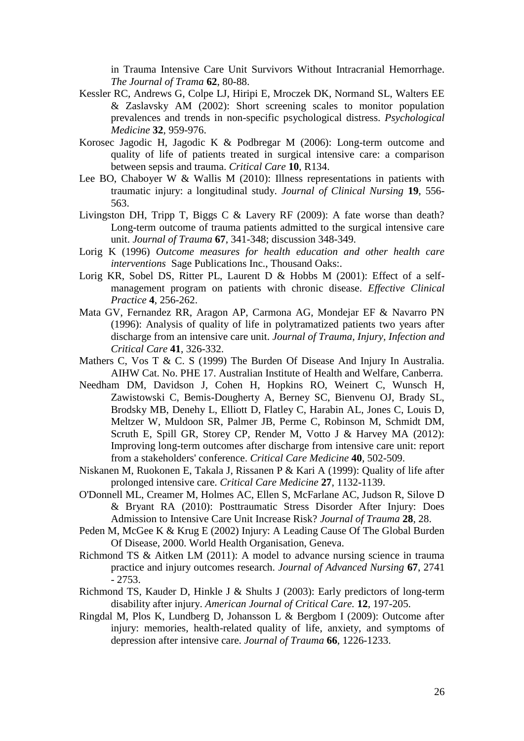in Trauma Intensive Care Unit Survivors Without Intracranial Hemorrhage. *The Journal of Trama* **62**, 80-88.

- Kessler RC, Andrews G, Colpe LJ, Hiripi E, Mroczek DK, Normand SL, Walters EE & Zaslavsky AM (2002): Short screening scales to monitor population prevalences and trends in non-specific psychological distress. *Psychological Medicine* **32**, 959-976.
- Korosec Jagodic H, Jagodic K & Podbregar M (2006): Long-term outcome and quality of life of patients treated in surgical intensive care: a comparison between sepsis and trauma. *Critical Care* **10**, R134.
- Lee BO, Chaboyer W & Wallis M (2010): Illness representations in patients with traumatic injury: a longitudinal study. *Journal of Clinical Nursing* **19**, 556- 563.
- Livingston DH, Tripp T, Biggs C & Lavery RF (2009): A fate worse than death? Long-term outcome of trauma patients admitted to the surgical intensive care unit. *Journal of Trauma* **67**, 341-348; discussion 348-349.
- Lorig K (1996) *Outcome measures for health education and other health care interventions* Sage Publications Inc., Thousand Oaks:.
- Lorig KR, Sobel DS, Ritter PL, Laurent D & Hobbs M (2001): Effect of a selfmanagement program on patients with chronic disease. *Effective Clinical Practice* **4**, 256-262.
- Mata GV, Fernandez RR, Aragon AP, Carmona AG, Mondejar EF & Navarro PN (1996): Analysis of quality of life in polytramatized patients two years after discharge from an intensive care unit. *Journal of Trauma, Injury, Infection and Critical Care* **41**, 326-332.
- Mathers C, Vos T & C. S (1999) The Burden Of Disease And Injury In Australia. AIHW Cat. No. PHE 17. Australian Institute of Health and Welfare, Canberra.
- Needham DM, Davidson J, Cohen H, Hopkins RO, Weinert C, Wunsch H, Zawistowski C, Bemis-Dougherty A, Berney SC, Bienvenu OJ, Brady SL, Brodsky MB, Denehy L, Elliott D, Flatley C, Harabin AL, Jones C, Louis D, Meltzer W, Muldoon SR, Palmer JB, Perme C, Robinson M, Schmidt DM, Scruth E, Spill GR, Storey CP, Render M, Votto J & Harvey MA (2012): Improving long-term outcomes after discharge from intensive care unit: report from a stakeholders' conference. *Critical Care Medicine* **40**, 502-509.
- Niskanen M, Ruokonen E, Takala J, Rissanen P & Kari A (1999): Quality of life after prolonged intensive care. *Critical Care Medicine* **27**, 1132-1139.
- O'Donnell ML, Creamer M, Holmes AC, Ellen S, McFarlane AC, Judson R, Silove D & Bryant RA (2010): Posttraumatic Stress Disorder After Injury: Does Admission to Intensive Care Unit Increase Risk? *Journal of Trauma* **28**, 28.
- Peden M, McGee K & Krug E (2002) Injury: A Leading Cause Of The Global Burden Of Disease, 2000. World Health Organisation, Geneva.
- Richmond TS & Aitken LM (2011): A model to advance nursing science in trauma practice and injury outcomes research. *Journal of Advanced Nursing* **67**, 2741 - 2753.
- Richmond TS, Kauder D, Hinkle J & Shults J (2003): Early predictors of long-term disability after injury. *American Journal of Critical Care.* **12**, 197-205.
- Ringdal M, Plos K, Lundberg D, Johansson L & Bergbom I (2009): Outcome after injury: memories, health-related quality of life, anxiety, and symptoms of depression after intensive care. *Journal of Trauma* **66**, 1226-1233.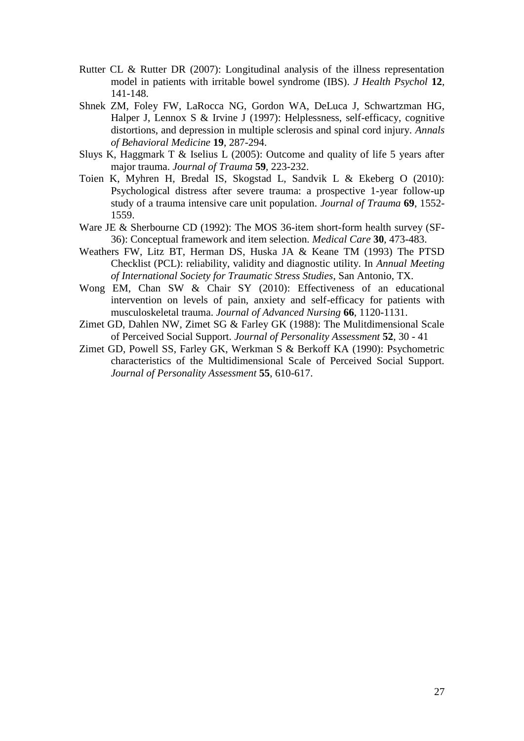- Rutter CL & Rutter DR (2007): Longitudinal analysis of the illness representation model in patients with irritable bowel syndrome (IBS). *J Health Psychol* **12**, 141-148.
- Shnek ZM, Foley FW, LaRocca NG, Gordon WA, DeLuca J, Schwartzman HG, Halper J, Lennox S & Irvine J (1997): Helplessness, self-efficacy, cognitive distortions, and depression in multiple sclerosis and spinal cord injury. *Annals of Behavioral Medicine* **19**, 287-294.
- Sluys K, Haggmark T & Iselius L (2005): Outcome and quality of life 5 years after major trauma. *Journal of Trauma* **59**, 223-232.
- Toien K, Myhren H, Bredal IS, Skogstad L, Sandvik L & Ekeberg O (2010): Psychological distress after severe trauma: a prospective 1-year follow-up study of a trauma intensive care unit population. *Journal of Trauma* **69**, 1552- 1559.
- Ware JE & Sherbourne CD (1992): The MOS 36-item short-form health survey (SF-36): Conceptual framework and item selection. *Medical Care* **30**, 473-483.
- Weathers FW, Litz BT, Herman DS, Huska JA & Keane TM (1993) The PTSD Checklist (PCL): reliability, validity and diagnostic utility. In *Annual Meeting of International Society for Traumatic Stress Studies*, San Antonio, TX.
- Wong EM, Chan SW & Chair SY (2010): Effectiveness of an educational intervention on levels of pain, anxiety and self-efficacy for patients with musculoskeletal trauma. *Journal of Advanced Nursing* **66**, 1120-1131.
- Zimet GD, Dahlen NW, Zimet SG & Farley GK (1988): The Mulitdimensional Scale of Perceived Social Support. *Journal of Personality Assessment* **52**, 30 - 41
- Zimet GD, Powell SS, Farley GK, Werkman S & Berkoff KA (1990): Psychometric characteristics of the Multidimensional Scale of Perceived Social Support. *Journal of Personality Assessment* **55**, 610-617.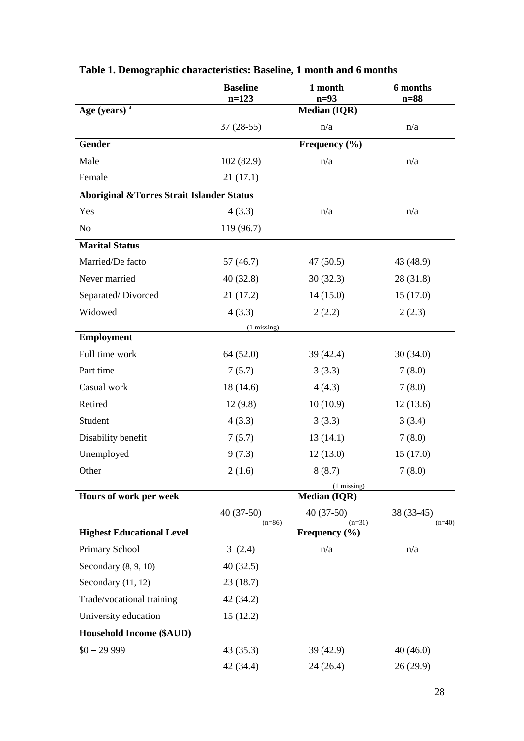|                                                       | <b>Baseline</b><br>$n=123$ | 1 month<br>$n=93$       | 6 months<br>$n=88$     |
|-------------------------------------------------------|----------------------------|-------------------------|------------------------|
| Age (years) $a$                                       |                            | Median (IQR)            |                        |
|                                                       | $37(28-55)$                | n/a                     | n/a                    |
| <b>Gender</b>                                         |                            | Frequency $(\% )$       |                        |
| Male                                                  | 102(82.9)                  | n/a                     | n/a                    |
| Female                                                | 21(17.1)                   |                         |                        |
| <b>Aboriginal &amp; Torres Strait Islander Status</b> |                            |                         |                        |
| Yes                                                   | 4(3.3)                     | n/a                     | n/a                    |
| N <sub>o</sub>                                        | 119 (96.7)                 |                         |                        |
| <b>Marital Status</b>                                 |                            |                         |                        |
| Married/De facto                                      | 57(46.7)                   | 47(50.5)                | 43 (48.9)              |
| Never married                                         | 40(32.8)                   | 30(32.3)                | 28(31.8)               |
| Separated/Divorced                                    | 21(17.2)                   | 14(15.0)                | 15(17.0)               |
| Widowed                                               | 4(3.3)                     | 2(2.2)                  | 2(2.3)                 |
|                                                       | $(1 \text{ missing})$      |                         |                        |
| <b>Employment</b>                                     |                            |                         |                        |
| Full time work                                        | 64 (52.0)                  | 39 (42.4)               | 30(34.0)               |
| Part time                                             | 7(5.7)                     | 3(3.3)                  | 7(8.0)                 |
| Casual work                                           | 18(14.6)                   | 4(4.3)                  | 7(8.0)                 |
| Retired                                               | 12(9.8)                    | 10(10.9)                | 12(13.6)               |
| Student                                               | 4(3.3)                     | 3(3.3)                  | 3(3.4)                 |
| Disability benefit                                    | 7(5.7)                     | 13(14.1)                | 7(8.0)                 |
| Unemployed                                            | 9(7.3)                     | 12(13.0)                | 15(17.0)               |
| Other                                                 | 2(1.6)                     | 8(8.7)                  | 7(8.0)                 |
|                                                       |                            | $(1 \text{ missing})$   |                        |
| Hours of work per week                                |                            | <b>Median (IQR)</b>     |                        |
|                                                       | $40(37-50)$<br>$(n=86)$    | $40(37-50)$<br>$(n=31)$ | 38 (33-45)<br>$(n=40)$ |
| <b>Highest Educational Level</b>                      |                            | Frequency $(\% )$       |                        |
| Primary School                                        | 3(2.4)                     | n/a                     | n/a                    |
| Secondary $(8, 9, 10)$                                | 40(32.5)                   |                         |                        |
| Secondary (11, 12)                                    | 23(18.7)                   |                         |                        |
| Trade/vocational training                             | 42 (34.2)                  |                         |                        |
| University education                                  | 15(12.2)                   |                         |                        |
| <b>Household Income (\$AUD)</b>                       |                            |                         |                        |
| $$0 - 29999$                                          | 43(35.3)                   | 39(42.9)                | 40(46.0)               |
|                                                       | 42 (34.4)                  | 24(26.4)                | 26(29.9)               |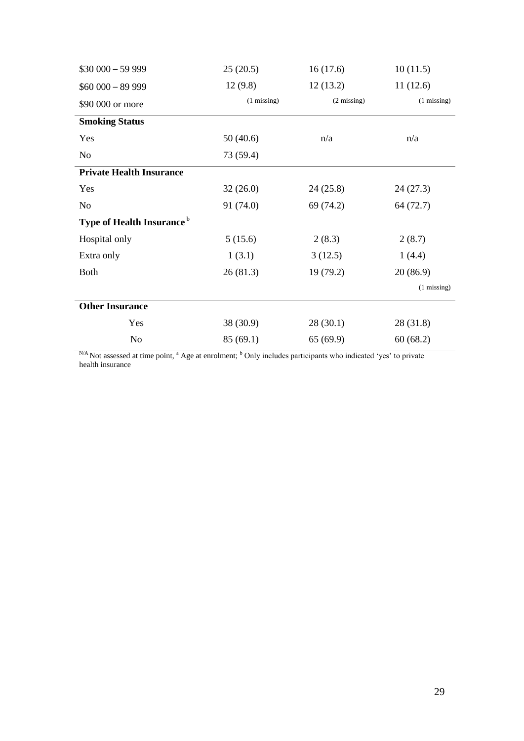| $$30\,000 - 59\,999$                  | 25(20.5)              | 16(17.6)              | 10(11.5)              |
|---------------------------------------|-----------------------|-----------------------|-----------------------|
| $$60\,000 - 89\,999$                  | 12(9.8)               | 12(13.2)              | 11(12.6)              |
| \$90 000 or more                      | $(1 \text{ missing})$ | $(2 \text{ missing})$ | $(1 \text{ missing})$ |
| <b>Smoking Status</b>                 |                       |                       |                       |
| Yes                                   | 50(40.6)              | n/a                   | n/a                   |
| No                                    | 73 (59.4)             |                       |                       |
| <b>Private Health Insurance</b>       |                       |                       |                       |
| Yes                                   | 32(26.0)              | 24(25.8)              | 24(27.3)              |
| N <sub>0</sub>                        | 91 (74.0)             | 69 (74.2)             | 64 (72.7)             |
| Type of Health Insurance <sup>b</sup> |                       |                       |                       |
| Hospital only                         | 5(15.6)               | 2(8.3)                | 2(8.7)                |
| Extra only                            | 1(3.1)                | 3(12.5)               | 1(4.4)                |
| <b>Both</b>                           | 26(81.3)              | 19 (79.2)             | 20(86.9)              |
|                                       |                       |                       | $(1 \text{ missing})$ |
| <b>Other Insurance</b>                |                       |                       |                       |
| Yes                                   | 38 (30.9)             | 28(30.1)              | 28 (31.8)             |
| N <sub>o</sub>                        | 85(69.1)              | 65(69.9)              | 60(68.2)              |

 $N_A$  Not assessed at time point,  $A_B$  age at enrolment;  $b$  Only includes participants who indicated 'yes' to private health insurance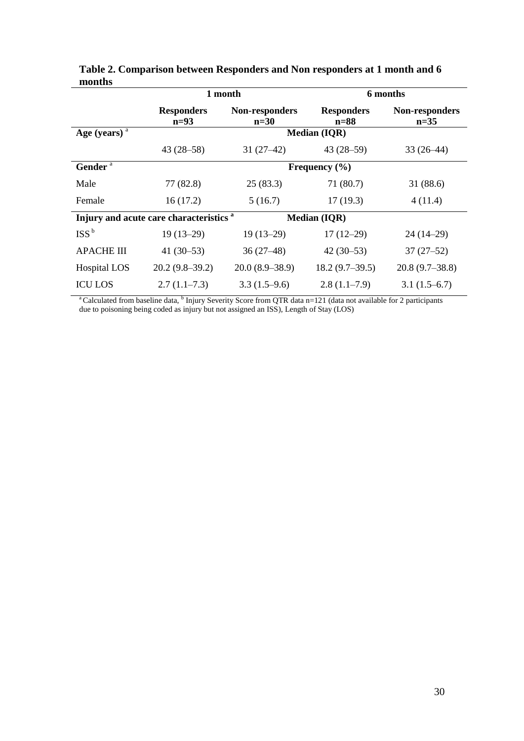|                                                    | 1 month                     |                                 | 6 months                    |                                 |  |
|----------------------------------------------------|-----------------------------|---------------------------------|-----------------------------|---------------------------------|--|
|                                                    | <b>Responders</b><br>$n=93$ | <b>Non-responders</b><br>$n=30$ | <b>Responders</b><br>$n=88$ | <b>Non-responders</b><br>$n=35$ |  |
| Age (years) $a$                                    |                             |                                 | <b>Median (IQR)</b>         |                                 |  |
|                                                    | $43(28-58)$                 | $31(27-42)$                     | $43(28-59)$                 | $33(26-44)$                     |  |
| Gender <sup>a</sup>                                |                             |                                 | Frequency $(\% )$           |                                 |  |
| Male                                               | 77 (82.8)                   | 25(83.3)                        | 71 (80.7)                   | 31(88.6)                        |  |
| Female                                             | 16(17.2)                    | 5(16.7)                         | 17(19.3)                    | 4(11.4)                         |  |
| Injury and acute care characteristics <sup>a</sup> |                             |                                 | <b>Median (IQR)</b>         |                                 |  |
| ISS <sup>b</sup>                                   | $19(13-29)$                 | $19(13-29)$                     | $17(12-29)$                 | $24(14-29)$                     |  |
| <b>APACHE III</b>                                  | 41 $(30-53)$                | $36(27-48)$                     | $42(30-53)$                 | $37(27-52)$                     |  |
| <b>Hospital LOS</b>                                | $20.2(9.8-39.2)$            | $20.0(8.9-38.9)$                | $18.2(9.7-39.5)$            | $20.8(9.7-38.8)$                |  |
| <b>ICU LOS</b>                                     | $2.7(1.1-7.3)$              | $3.3(1.5-9.6)$                  | $2.8(1.1-7.9)$              | $3.1(1.5-6.7)$                  |  |

**Table 2. Comparison between Responders and Non responders at 1 month and 6 months**

<sup>a</sup> Calculated from baseline data, <sup>b</sup> Injury Severity Score from QTR data n=121 (data not available for 2 participants due to poisoning being coded as injury but not assigned an ISS), Length of Stay (LOS)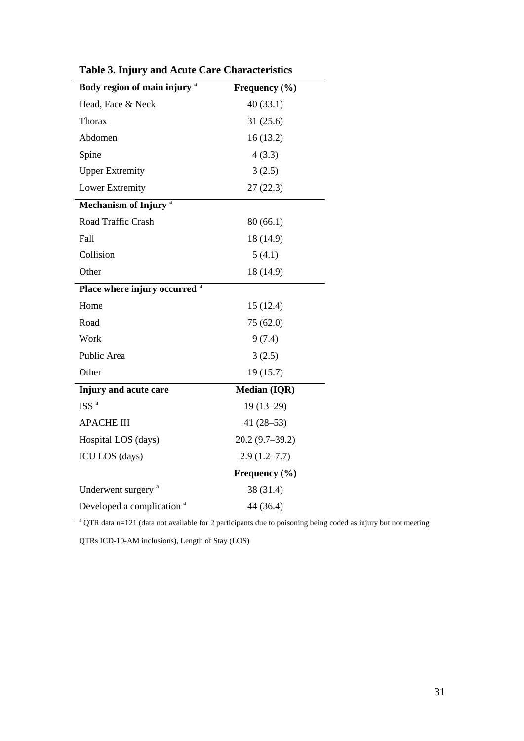| Body region of main injury <sup>a</sup>  | Frequency (%)       |
|------------------------------------------|---------------------|
| Head, Face & Neck                        | 40(33.1)            |
| <b>Thorax</b>                            | 31(25.6)            |
| Abdomen                                  | 16(13.2)            |
| Spine                                    | 4(3.3)              |
| <b>Upper Extremity</b>                   | 3(2.5)              |
| <b>Lower Extremity</b>                   | 27(22.3)            |
| Mechanism of Injury <sup>a</sup>         |                     |
| Road Traffic Crash                       | 80(66.1)            |
| Fall                                     | 18 (14.9)           |
| Collision                                | 5(4.1)              |
| Other                                    | 18 (14.9)           |
| Place where injury occurred <sup>a</sup> |                     |
| Home                                     | 15(12.4)            |
| Road                                     | 75 (62.0)           |
| Work                                     | 9(7.4)              |
| Public Area                              | 3(2.5)              |
| Other                                    | 19(15.7)            |
| Injury and acute care                    | <b>Median (IQR)</b> |
| ISS <sup>a</sup>                         | $19(13-29)$         |
| <b>APACHE III</b>                        | 41 $(28-53)$        |
| Hospital LOS (days)                      | $20.2(9.7-39.2)$    |
| ICU LOS (days)                           | $2.9(1.2 - 7.7)$    |
|                                          | Frequency $(\% )$   |
| Underwent surgery <sup>a</sup>           | 38 (31.4)           |
| Developed a complication <sup>a</sup>    | 44 (36.4)           |

**Table 3. Injury and Acute Care Characteristics** 

 $a$  QTR data n=121 (data not available for 2 participants due to poisoning being coded as injury but not meeting

QTRs ICD-10-AM inclusions), Length of Stay (LOS)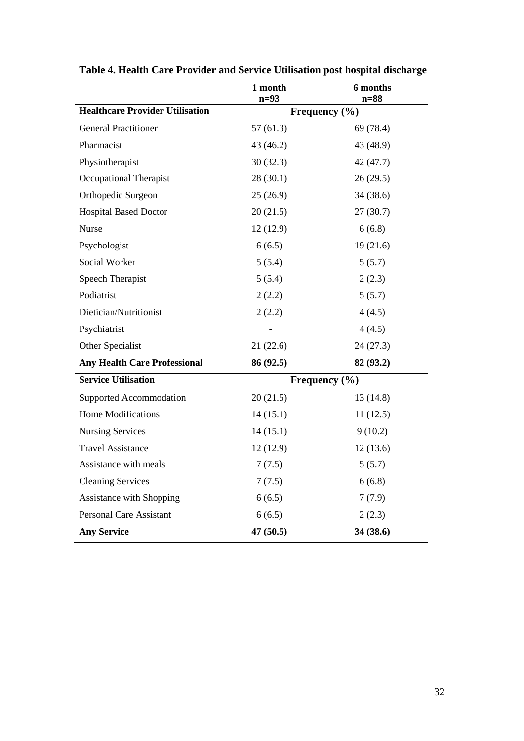|                                        | 1 month<br>$n=93$ | 6 months<br>$n=88$ |
|----------------------------------------|-------------------|--------------------|
| <b>Healthcare Provider Utilisation</b> |                   | Frequency (%)      |
| <b>General Practitioner</b>            | 57(61.3)          | 69 (78.4)          |
| Pharmacist                             | 43 (46.2)         | 43 (48.9)          |
| Physiotherapist                        | 30(32.3)          | 42 (47.7)          |
| <b>Occupational Therapist</b>          | 28(30.1)          | 26(29.5)           |
| Orthopedic Surgeon                     | 25(26.9)          | 34 (38.6)          |
| <b>Hospital Based Doctor</b>           | 20(21.5)          | 27(30.7)           |
| Nurse                                  | 12(12.9)          | 6(6.8)             |
| Psychologist                           | 6(6.5)            | 19(21.6)           |
| Social Worker                          | 5(5.4)            | 5(5.7)             |
| <b>Speech Therapist</b>                | 5(5.4)            | 2(2.3)             |
| Podiatrist                             | 2(2.2)            | 5(5.7)             |
| Dietician/Nutritionist                 | 2(2.2)            | 4(4.5)             |
| Psychiatrist                           |                   | 4(4.5)             |
| Other Specialist                       | 21(22.6)          | 24(27.3)           |
| <b>Any Health Care Professional</b>    | 86 (92.5)         | 82 (93.2)          |
| <b>Service Utilisation</b>             |                   | Frequency $(\% )$  |
| Supported Accommodation                | 20(21.5)          | 13(14.8)           |
| <b>Home Modifications</b>              | 14(15.1)          | 11(12.5)           |
| <b>Nursing Services</b>                | 14(15.1)          | 9(10.2)            |
| <b>Travel Assistance</b>               | 12(12.9)          | 12(13.6)           |
| Assistance with meals                  | 7(7.5)            | 5(5.7)             |
| <b>Cleaning Services</b>               | 7(7.5)            | 6(6.8)             |
| Assistance with Shopping               | 6(6.5)            | 7(7.9)             |
| <b>Personal Care Assistant</b>         | 6(6.5)            | 2(2.3)             |
| <b>Any Service</b>                     | 47 (50.5)         | 34 (38.6)          |

**Table 4. Health Care Provider and Service Utilisation post hospital discharge**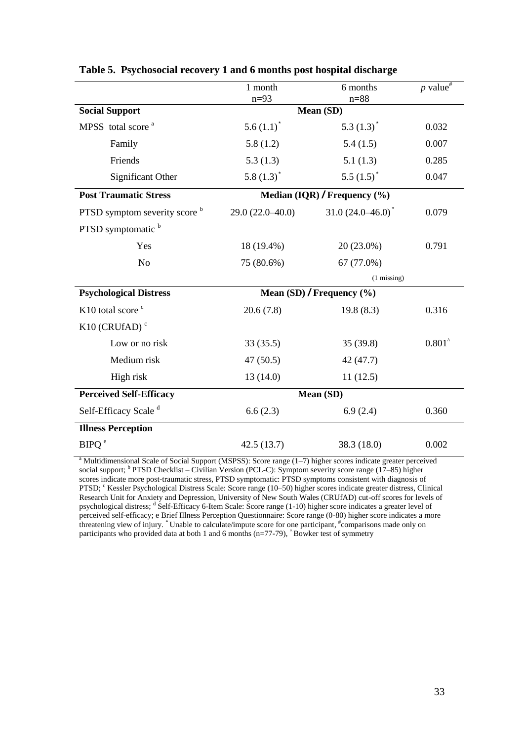|                                          | 1 month               | 6 months                           | p value <sup>#</sup> |
|------------------------------------------|-----------------------|------------------------------------|----------------------|
|                                          | $n=93$                | $n = 88$                           |                      |
| <b>Social Support</b>                    |                       | Mean (SD)                          |                      |
| MPSS total score <sup>a</sup>            | $5.6(1.1)^{*}$        | 5.3 $(1.3)^{\dagger}$              | 0.032                |
| Family                                   | 5.8(1.2)              | 5.4(1.5)                           | 0.007                |
| Friends                                  | 5.3(1.3)              | 5.1(1.3)                           | 0.285                |
| Significant Other                        | 5.8 $(1.3)^{\dagger}$ | 5.5 $(1.5)^*$                      | 0.047                |
| <b>Post Traumatic Stress</b>             |                       | Median $(IQR)$ / Frequency $(\% )$ |                      |
| PTSD symptom severity score <sup>b</sup> | $29.0(22.0-40.0)$     | $31.0(24.0-46.0)^{*}$              | 0.079                |
| PTSD symptomatic b                       |                       |                                    |                      |
| Yes                                      | 18 (19.4%)            | 20 (23.0%)                         | 0.791                |
| N <sub>o</sub>                           | 75 (80.6%)            | 67 (77.0%)                         |                      |
|                                          |                       | $(1 \text{ missing})$              |                      |
| <b>Psychological Distress</b>            |                       | Mean (SD) / Frequency $(\%$ )      |                      |
| K10 total score <sup>c</sup>             | 20.6(7.8)             | 19.8(8.3)                          | 0.316                |
| $K10$ (CRUfAD) <sup>c</sup>              |                       |                                    |                      |
| Low or no risk                           | 33(35.5)              | 35(39.8)                           | $0.801^{\circ}$      |
| Medium risk                              | 47(50.5)              | 42 (47.7)                          |                      |
| High risk                                | 13(14.0)              | 11(12.5)                           |                      |
| <b>Perceived Self-Efficacy</b>           | Mean (SD)             |                                    |                      |
| Self-Efficacy Scale <sup>d</sup>         | 6.6(2.3)              | 6.9(2.4)                           | 0.360                |
| <b>Illness Perception</b>                |                       |                                    |                      |
| BIPO <sup>e</sup>                        | 42.5(13.7)            | 38.3 (18.0)                        | 0.002                |

# **Table 5. Psychosocial recovery 1 and 6 months post hospital discharge**

<sup>a</sup> Multidimensional Scale of Social Support (MSPSS): Score range (1–7) higher scores indicate greater perceived social support; <sup>b</sup> PTSD Checklist – Civilian Version (PCL-C): Symptom severity score range (17–85) higher scores indicate more post-traumatic stress, PTSD symptomatic: PTSD symptoms consistent with diagnosis of PTSD; <sup>c</sup> Kessler Psychological Distress Scale: Score range (10–50) higher scores indicate greater distress, Clinical Research Unit for Anxiety and Depression, University of New South Wales (CRUfAD) cut-off scores for levels of psychological distress; <sup>d</sup> Self-Efficacy 6-Item Scale: Score range (1-10) higher score indicates a greater level of perceived self-efficacy; e Brief Illness Perception Questionnaire: Score range (0-80) higher score indicates a more threatening view of injury. <sup>\*</sup> Unable to calculate/impute score for one participant, <sup>#</sup>comparisons made only on participants who provided data at both 1 and 6 months (n=77-79),  $\hat{ }$  Bowker test of symmetry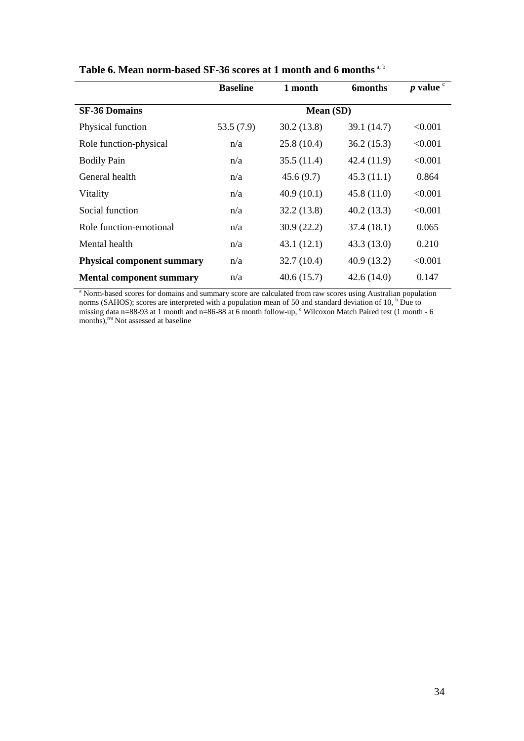|                                   | <b>Baseline</b> | 1 month    | <b>6months</b> | $p$ value $\degree$ |
|-----------------------------------|-----------------|------------|----------------|---------------------|
| <b>SF-36 Domains</b>              |                 | Mean (SD)  |                |                     |
| Physical function                 | 53.5(7.9)       | 30.2(13.8) | 39.1 (14.7)    | < 0.001             |
| Role function-physical            | n/a             | 25.8(10.4) | 36.2(15.3)     | < 0.001             |
| <b>Bodily Pain</b>                | n/a             | 35.5(11.4) | 42.4(11.9)     | < 0.001             |
| General health                    | n/a             | 45.6(9.7)  | 45.3(11.1)     | 0.864               |
| Vitality                          | n/a             | 40.9(10.1) | 45.8(11.0)     | < 0.001             |
| Social function                   | n/a             | 32.2(13.8) | 40.2(13.3)     | < 0.001             |
| Role function-emotional           | n/a             | 30.9(22.2) | 37.4(18.1)     | 0.065               |
| Mental health                     | n/a             | 43.1(12.1) | 43.3(13.0)     | 0.210               |
| <b>Physical component summary</b> | n/a             | 32.7(10.4) | 40.9(13.2)     | < 0.001             |
| <b>Mental component summary</b>   | n/a             | 40.6(15.7) | 42.6(14.0)     | 0.147               |

| Table 6. Mean norm-based SF-36 scores at 1 month and 6 months <sup>a, b</sup> |  |  |
|-------------------------------------------------------------------------------|--|--|
|-------------------------------------------------------------------------------|--|--|

<sup>a</sup> Norm-based scores for domains and summary score are calculated from raw scores using Australian population norms (SAHOS); scores are interpreted with a population mean of 50 and standard deviation of 10,  $b$  Due to missing data n=88-93 at 1 month and n=86-88 at 6 month follow-up, "Wilcoxon Match Paired test (1 month - 6 months),<sup>n/a</sup> Not assessed at baseline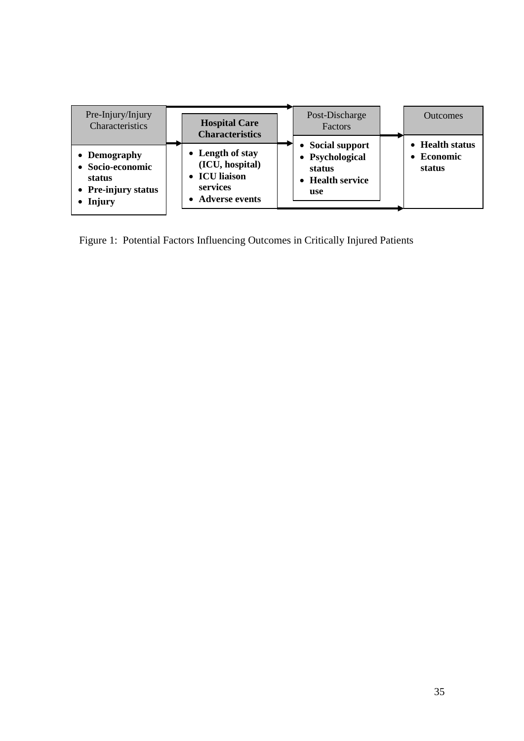| Pre-Injury/Injury<br>Characteristics                                          | <b>Hospital Care</b><br><b>Characteristics</b>                                       | Post-Discharge<br>Factors                                                     | <b>Outcomes</b>                         |
|-------------------------------------------------------------------------------|--------------------------------------------------------------------------------------|-------------------------------------------------------------------------------|-----------------------------------------|
| • Demography<br>• Socio-economic<br>status<br>• Pre-injury status<br>• Injury | • Length of stay<br>(ICU, hospital)<br>• ICU liaison<br>services<br>• Adverse events | <b>Social support</b><br>• Psychological<br>status<br>• Health service<br>use | • Health status<br>• Economic<br>status |

Figure 1: Potential Factors Influencing Outcomes in Critically Injured Patients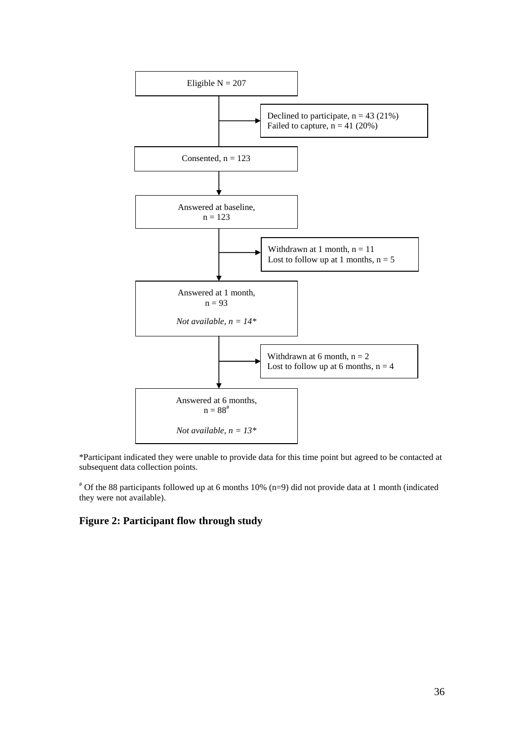

\*Participant indicated they were unable to provide data for this time point but agreed to be contacted at subsequent data collection points.

# Of the 88 participants followed up at 6 months 10% (n=9) did not provide data at 1 month (indicated they were not available).

# **Figure 2: Participant flow through study**